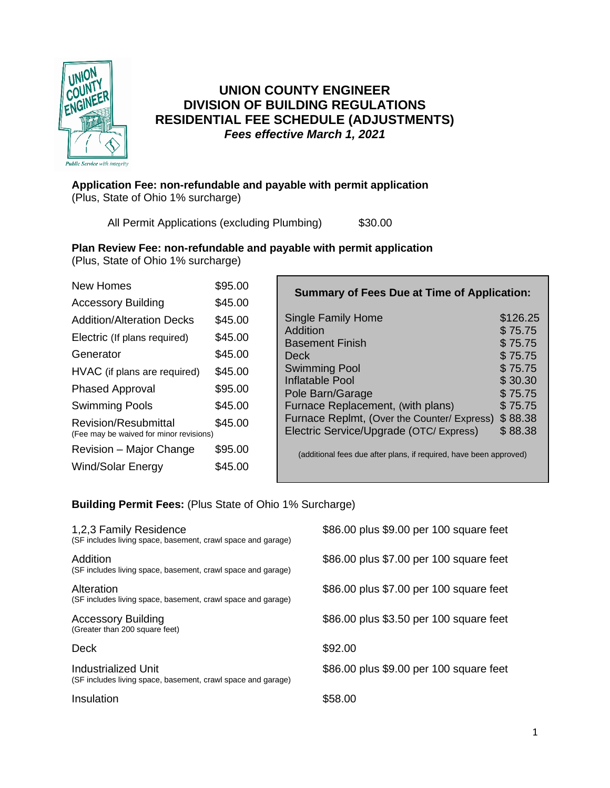

## **UNION COUNTY ENGINEER DIVISION OF BUILDING REGULATIONS RESIDENTIAL FEE SCHEDULE (ADJUSTMENTS)** *Fees effective March 1, 2021*

#### **Application Fee: non-refundable and payable with permit application**  (Plus, State of Ohio 1% surcharge)

All Permit Applications (excluding Plumbing) \$30.00

### **Plan Review Fee: non-refundable and payable with permit application**

(Plus, State of Ohio 1% surcharge)

| <b>New Homes</b>                                                       | \$95.00 |
|------------------------------------------------------------------------|---------|
| <b>Accessory Building</b>                                              | \$45.00 |
| <b>Addition/Alteration Decks</b>                                       | \$45.00 |
| Electric (If plans required)                                           | \$45.00 |
| Generator                                                              | \$45.00 |
| HVAC (if plans are required)                                           | \$45.00 |
| <b>Phased Approval</b>                                                 | \$95.00 |
| <b>Swimming Pools</b>                                                  | \$45.00 |
| <b>Revision/Resubmittal</b><br>(Fee may be waived for minor revisions) | \$45.00 |
| Revision - Major Change                                                | \$95.00 |
| Wind/Solar Energy                                                      | \$45.00 |
|                                                                        |         |

| <b>Summary of Fees Due at Time of Application:</b> |          |  |
|----------------------------------------------------|----------|--|
| <b>Single Family Home</b>                          | \$126.25 |  |
| Addition                                           | \$75.75  |  |
| <b>Basement Finish</b>                             | \$75.75  |  |
| Deck                                               | \$75.75  |  |
| <b>Swimming Pool</b>                               | \$75.75  |  |
| Inflatable Pool                                    | \$30.30  |  |
| Pole Barn/Garage                                   | \$75.75  |  |
| Furnace Replacement, (with plans)                  | \$75.75  |  |
| Furnace Replmt, (Over the Counter/ Express)        | \$88.38  |  |
| Electric Service/Upgrade (OTC/ Express)            | \$88.38  |  |

(additional fees due after plans, if required, have been approved)

#### **Building Permit Fees:** (Plus State of Ohio 1% Surcharge)

| 1,2,3 Family Residence<br>(SF includes living space, basement, crawl space and garage) | \$86.00 plus \$9.00 per 100 square feet |
|----------------------------------------------------------------------------------------|-----------------------------------------|
| Addition<br>(SF includes living space, basement, crawl space and garage)               | \$86.00 plus \$7.00 per 100 square feet |
| Alteration<br>(SF includes living space, basement, crawl space and garage)             | \$86.00 plus \$7.00 per 100 square feet |
| <b>Accessory Building</b><br>(Greater than 200 square feet)                            | \$86.00 plus \$3.50 per 100 square feet |
| Deck                                                                                   | \$92.00                                 |
| Industrialized Unit<br>(SF includes living space, basement, crawl space and garage)    | \$86.00 plus \$9.00 per 100 square feet |
| Insulation                                                                             | \$58.00                                 |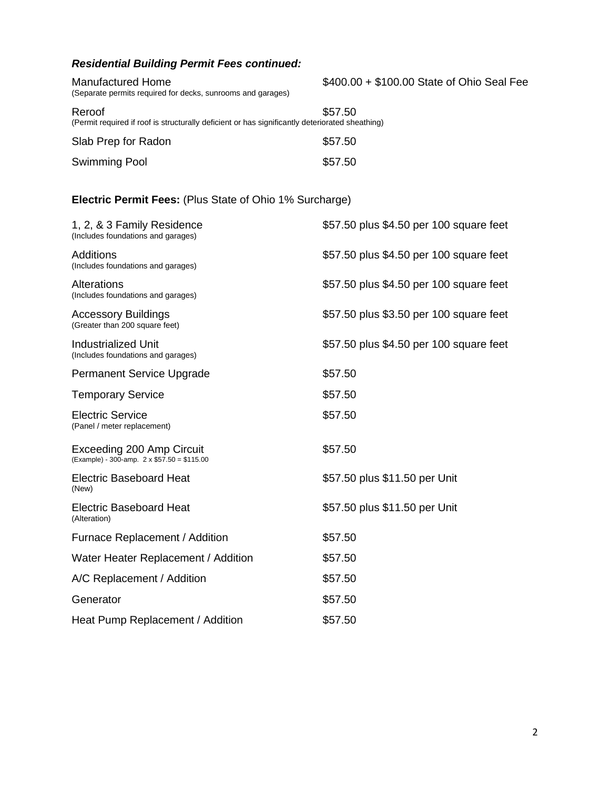# *Residential Building Permit Fees continued:*

| <b>Manufactured Home</b><br>(Separate permits required for decks, sunrooms and garages)                   | \$400.00 + \$100.00 State of Ohio Seal Fee |
|-----------------------------------------------------------------------------------------------------------|--------------------------------------------|
| Reroof<br>(Permit required if roof is structurally deficient or has significantly deteriorated sheathing) | \$57.50                                    |
| Slab Prep for Radon                                                                                       | \$57.50                                    |
| Swimming Pool                                                                                             | \$57.50                                    |
| <b>Electric Permit Fees:</b> (Plus State of Ohio 1% Surcharge)                                            |                                            |
| 1, 2, & 3 Family Residence<br>(Includes foundations and garages)                                          | \$57.50 plus \$4.50 per 100 square feet    |
| Additions<br>(Includes foundations and garages)                                                           | \$57.50 plus \$4.50 per 100 square feet    |
| Alterations<br>(Includes foundations and garages)                                                         | \$57.50 plus \$4.50 per 100 square feet    |
| Accessory Buildings<br>(Greater than 200 square feet)                                                     | \$57.50 plus \$3.50 per 100 square feet    |
| <b>Industrialized Unit</b><br>(Includes foundations and garages)                                          | \$57.50 plus \$4.50 per 100 square feet    |
| Permanent Service Upgrade                                                                                 | \$57.50                                    |
| <b>Temporary Service</b>                                                                                  | \$57.50                                    |
| <b>Electric Service</b><br>(Panel / meter replacement)                                                    | \$57.50                                    |
| Exceeding 200 Amp Circuit<br>(Example) - 300-amp. 2 x \$57.50 = \$115.00                                  | \$57.50                                    |
| <b>Electric Baseboard Heat</b><br>(New)                                                                   | \$57.50 plus \$11.50 per Unit              |
| <b>Electric Baseboard Heat</b><br>(Alteration)                                                            | \$57.50 plus \$11.50 per Unit              |
| Furnace Replacement / Addition                                                                            | \$57.50                                    |
| Water Heater Replacement / Addition                                                                       | \$57.50                                    |
| A/C Replacement / Addition                                                                                | \$57.50                                    |
| Generator                                                                                                 | \$57.50                                    |
| Heat Pump Replacement / Addition                                                                          | \$57.50                                    |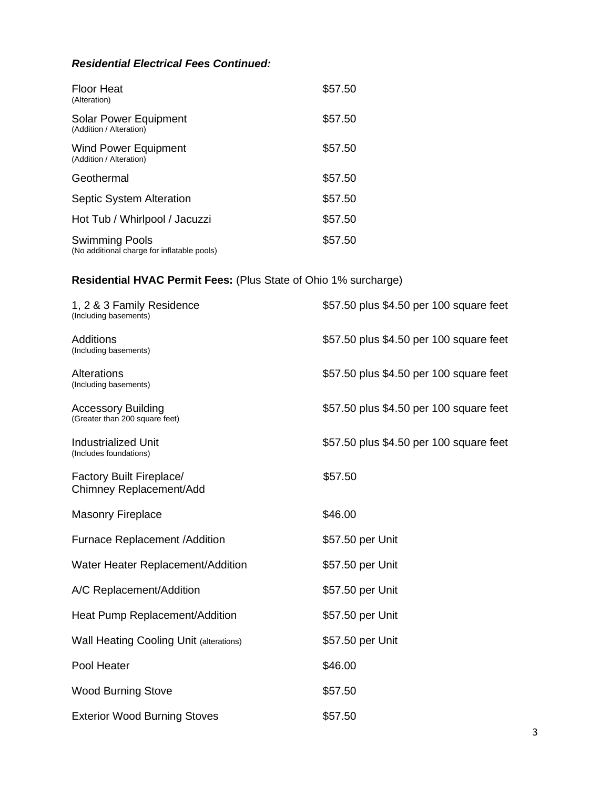## *Residential Electrical Fees Continued:*

| Floor Heat<br>(Alteration)                                           | \$57.50 |
|----------------------------------------------------------------------|---------|
| Solar Power Equipment<br>(Addition / Alteration)                     | \$57.50 |
| <b>Wind Power Equipment</b><br>(Addition / Alteration)               | \$57.50 |
| Geothermal                                                           | \$57.50 |
| <b>Septic System Alteration</b>                                      | \$57.50 |
| Hot Tub / Whirlpool / Jacuzzi                                        | \$57.50 |
| <b>Swimming Pools</b><br>(No additional charge for inflatable pools) | \$57.50 |

# **Residential HVAC Permit Fees:** (Plus State of Ohio 1% surcharge)

| 1, 2 & 3 Family Residence<br>(Including basements)          | \$57.50 plus \$4.50 per 100 square feet |
|-------------------------------------------------------------|-----------------------------------------|
| <b>Additions</b><br>(Including basements)                   | \$57.50 plus \$4.50 per 100 square feet |
| Alterations<br>(Including basements)                        | \$57.50 plus \$4.50 per 100 square feet |
| <b>Accessory Building</b><br>(Greater than 200 square feet) | \$57.50 plus \$4.50 per 100 square feet |
| <b>Industrialized Unit</b><br>(Includes foundations)        | \$57.50 plus \$4.50 per 100 square feet |
| Factory Built Fireplace/<br>Chimney Replacement/Add         | \$57.50                                 |
| <b>Masonry Fireplace</b>                                    | \$46.00                                 |
| <b>Furnace Replacement /Addition</b>                        | \$57.50 per Unit                        |
| Water Heater Replacement/Addition                           | \$57.50 per Unit                        |
| A/C Replacement/Addition                                    | \$57.50 per Unit                        |
| Heat Pump Replacement/Addition                              | \$57.50 per Unit                        |
| <b>Wall Heating Cooling Unit (alterations)</b>              | \$57.50 per Unit                        |
| Pool Heater                                                 | \$46.00                                 |
| <b>Wood Burning Stove</b>                                   | \$57.50                                 |
| <b>Exterior Wood Burning Stoves</b>                         | \$57.50                                 |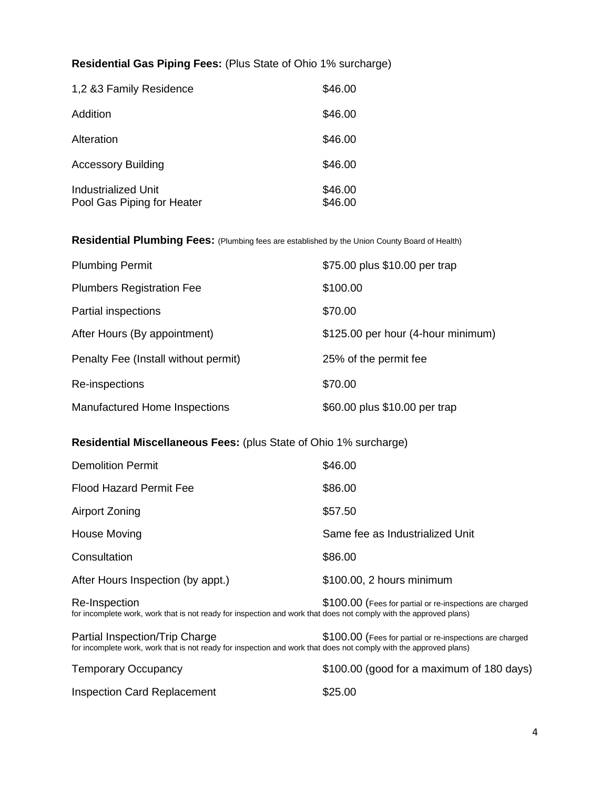### **Residential Gas Piping Fees:** (Plus State of Ohio 1% surcharge)

| 1,2 &3 Family Residence                           | \$46.00            |
|---------------------------------------------------|--------------------|
| Addition                                          | \$46.00            |
| Alteration                                        | \$46.00            |
| <b>Accessory Building</b>                         | \$46.00            |
| Industrialized Unit<br>Pool Gas Piping for Heater | \$46.00<br>\$46.00 |

**Residential Plumbing Fees:** (Plumbing fees are established by the Union County Board of Health)

| <b>Plumbing Permit</b>               | \$75.00 plus \$10.00 per trap      |
|--------------------------------------|------------------------------------|
| <b>Plumbers Registration Fee</b>     | \$100.00                           |
| Partial inspections                  | \$70.00                            |
| After Hours (By appointment)         | \$125.00 per hour (4-hour minimum) |
| Penalty Fee (Install without permit) | 25% of the permit fee              |
| Re-inspections                       | \$70.00                            |
| Manufactured Home Inspections        | \$60.00 plus \$10.00 per trap      |

### **Residential Miscellaneous Fees:** (plus State of Ohio 1% surcharge)

| <b>Demolition Permit</b>                                                                                                           | \$46.00                                                  |
|------------------------------------------------------------------------------------------------------------------------------------|----------------------------------------------------------|
| <b>Flood Hazard Permit Fee</b>                                                                                                     | \$86.00                                                  |
| Airport Zoning                                                                                                                     | \$57.50                                                  |
| <b>House Moving</b>                                                                                                                | Same fee as Industrialized Unit                          |
| Consultation                                                                                                                       | \$86.00                                                  |
| After Hours Inspection (by appt.)                                                                                                  | \$100.00, 2 hours minimum                                |
| Re-Inspection<br>for incomplete work, work that is not ready for inspection and work that does not comply with the approved plans) | \$100.00 (Fees for partial or re-inspections are charged |

Partial Inspection/Trip Charge \$100.00 (Fees for partial or re-inspections are charged for incomplete work, work that is not ready for inspection and work that does not comply with the approved plans)

| <b>Temporary Occupancy</b>  | \$100.00 (good for a maximum of 180 days) |
|-----------------------------|-------------------------------------------|
| Inspection Card Replacement | \$25.00                                   |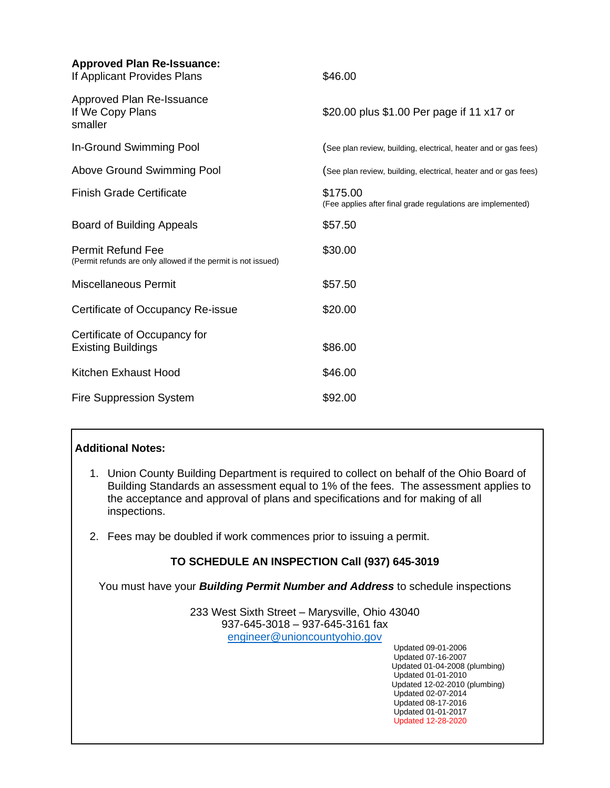| <b>Approved Plan Re-Issuance:</b><br>If Applicant Provides Plans                   | \$46.00                                                                 |
|------------------------------------------------------------------------------------|-------------------------------------------------------------------------|
| Approved Plan Re-Issuance<br>If We Copy Plans<br>smaller                           | \$20.00 plus \$1.00 Per page if 11 x17 or                               |
| In-Ground Swimming Pool                                                            | (See plan review, building, electrical, heater and or gas fees)         |
| Above Ground Swimming Pool                                                         | (See plan review, building, electrical, heater and or gas fees)         |
| <b>Finish Grade Certificate</b>                                                    | \$175.00<br>(Fee applies after final grade regulations are implemented) |
| <b>Board of Building Appeals</b>                                                   | \$57.50                                                                 |
| Permit Refund Fee<br>(Permit refunds are only allowed if the permit is not issued) | \$30.00                                                                 |
| <b>Miscellaneous Permit</b>                                                        | \$57.50                                                                 |
| Certificate of Occupancy Re-issue                                                  | \$20.00                                                                 |
| Certificate of Occupancy for<br><b>Existing Buildings</b>                          | \$86.00                                                                 |
| Kitchen Exhaust Hood                                                               | \$46.00                                                                 |
| <b>Fire Suppression System</b>                                                     | \$92.00                                                                 |

#### **Additional Notes:**

- 1. Union County Building Department is required to collect on behalf of the Ohio Board of Building Standards an assessment equal to 1% of the fees. The assessment applies to the acceptance and approval of plans and specifications and for making of all inspections.
- 2. Fees may be doubled if work commences prior to issuing a permit.

### **TO SCHEDULE AN INSPECTION Call (937) 645-3019**

You must have your *Building Permit Number and Address* to schedule inspections

233 West Sixth Street – Marysville, Ohio 43040 937-645-3018 – 937-645-3161 fax [engineer@unioncountyohio.gov](mailto:engineer@unioncountyohio.gov)

> Updated 09-01-2006 Updated 07-16-2007 Updated 01-04-2008 (plumbing) Updated 01-01-2010 Updated 12-02-2010 (plumbing) Updated 02-07-2014 Updated 08-17-2016 Updated 01-01-2017 Updated 12-28-2020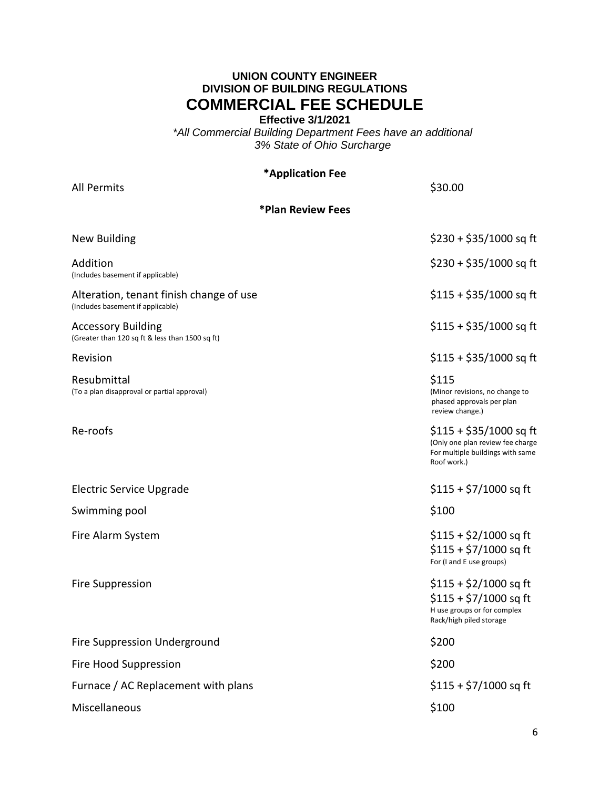### **UNION COUNTY ENGINEER DIVISION OF BUILDING REGULATIONS COMMERCIAL FEE SCHEDULE**

**Effective 3/1/2021**

*\*All Commercial Building Department Fees have an additional 3% State of Ohio Surcharge*

#### **\*Application Fee**

All Permits \$30.00 **\*Plan Review Fees** New Building \$230 + \$35/1000 sq ft Addition \$230 + \$35/1000 sq ft (Includes basement if applicable) Alteration, tenant finish change of use  $$115 + $35/1000$  sq ft (Includes basement if applicable) Accessory Building **1996** and the state of the state of the state of the state of the state of the state of the state of the state of the state of the state of the state of the state of the state of the state of the state (Greater than 120 sq ft & less than 1500 sq ft) Revision **12000 sq** ft **12000 sq** ft **12000** sq ft **12000** sq ft **12000** sq ft **12000** sq ft **12000** sq ft **12000** sq ft **12000** sq ft **12000** sq ft **12000** sq ft **12000** sq ft **12000** sq ft **12000** sq ft **1200** sq ft **120** Resubmittal \$115 (To a plan disapproval or partial approval) (Minor revisions, no change to phased approvals per plan review change.) Re-roofs **115 + \$35/1000 sq** ft (Only one plan review fee charge For multiple buildings with same Roof work.) Electric Service Upgrade  $$115 + $7/1000$  sq ft Swimming pool and the state of the state of the state of the state of the state of the state of the state of the state of the state of the state of the state of the state of the state of the state of the state of the state Fire Alarm System  $\sim$  \$115 + \$2/1000 sq ft  $$115 + $7/1000$  sq ft For (I and E use groups) Fire Suppression  $$115 + $2/1000$  sq ft  $$115 + $7/1000$  sq ft H use groups or for complex Rack/high piled storage Fire Suppression Underground **\$200** and \$200 Fire Hood Suppression  $\sim$  3200 Furnace / AC Replacement with plans  $$115 + $7/1000$  sq ft

Miscellaneous **\$100**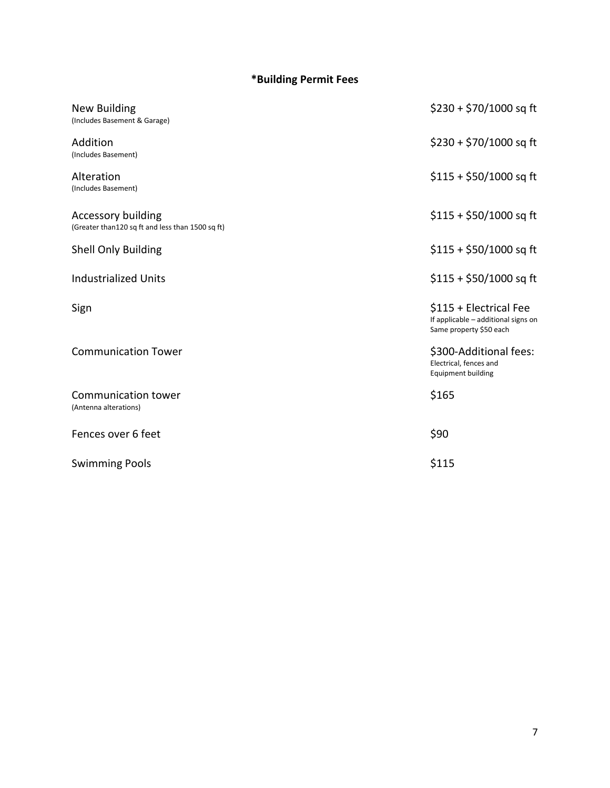# **\*Building Permit Fees**

| New Building<br>(Includes Basement & Garage)                                  | $$230 + $70/1000$ sq ft                                                                  |
|-------------------------------------------------------------------------------|------------------------------------------------------------------------------------------|
| Addition<br>(Includes Basement)                                               | $$230 + $70/1000$ sq ft                                                                  |
| Alteration<br>(Includes Basement)                                             | $$115 + $50/1000$ sq ft                                                                  |
| <b>Accessory building</b><br>(Greater than120 sq ft and less than 1500 sq ft) | $$115 + $50/1000$ sq ft                                                                  |
| Shell Only Building                                                           | $$115 + $50/1000$ sq ft                                                                  |
| <b>Industrialized Units</b>                                                   | $$115 + $50/1000$ sq ft                                                                  |
| Sign                                                                          | \$115 + Electrical Fee<br>If applicable - additional signs on<br>Same property \$50 each |
| <b>Communication Tower</b>                                                    | \$300-Additional fees:<br>Electrical, fences and<br><b>Equipment building</b>            |
| Communication tower<br>(Antenna alterations)                                  | \$165                                                                                    |
| Fences over 6 feet                                                            | \$90                                                                                     |
| <b>Swimming Pools</b>                                                         | \$115                                                                                    |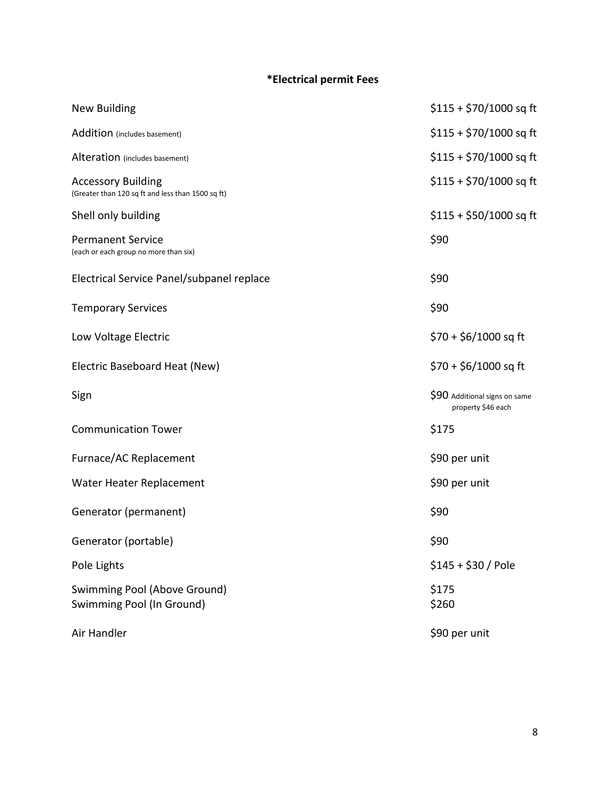## **\*Electrical permit Fees**

| <b>New Building</b>                                                            | $$115 + $70/1000$ sq ft                             |
|--------------------------------------------------------------------------------|-----------------------------------------------------|
| Addition (includes basement)                                                   | $$115 + $70/1000$ sq ft                             |
| Alteration (includes basement)                                                 | $$115 + $70/1000$ sq ft                             |
| <b>Accessory Building</b><br>(Greater than 120 sq ft and less than 1500 sq ft) | $$115 + $70/1000$ sq ft                             |
| Shell only building                                                            | $$115 + $50/1000$ sq ft                             |
| <b>Permanent Service</b><br>(each or each group no more than six)              | \$90                                                |
| Electrical Service Panel/subpanel replace                                      | \$90                                                |
| <b>Temporary Services</b>                                                      | \$90                                                |
| Low Voltage Electric                                                           | $$70 + $6/1000$ sq ft                               |
| Electric Baseboard Heat (New)                                                  | $$70 + $6/1000$ sq ft                               |
| Sign                                                                           | \$90 Additional signs on same<br>property \$46 each |
| <b>Communication Tower</b>                                                     | \$175                                               |
| Furnace/AC Replacement                                                         | \$90 per unit                                       |
| Water Heater Replacement                                                       | \$90 per unit                                       |
|                                                                                |                                                     |
| Generator (permanent)                                                          | \$90                                                |
| Generator (portable)                                                           | \$90                                                |
| Pole Lights                                                                    | $$145 + $30 /$ Pole                                 |
| Swimming Pool (Above Ground)<br>Swimming Pool (In Ground)                      | \$175<br>\$260                                      |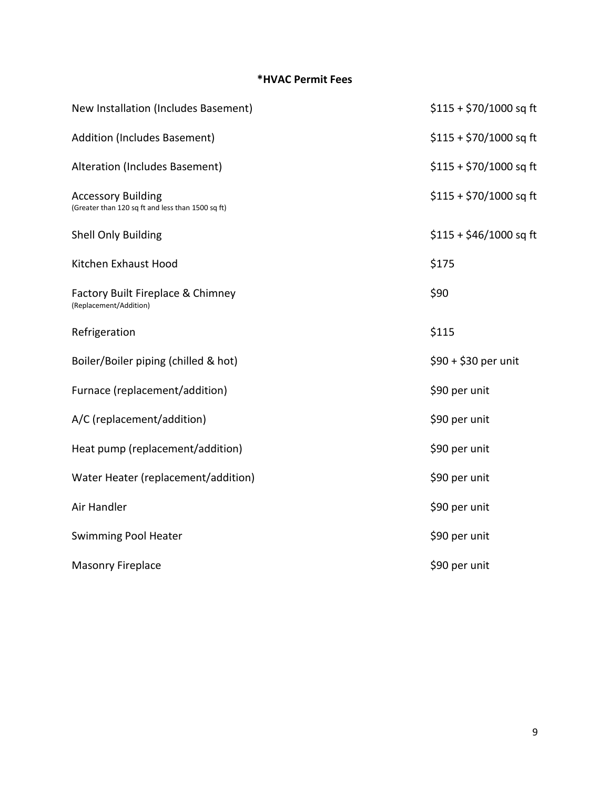## **\*HVAC Permit Fees**

| New Installation (Includes Basement)                                           | \$115 + \$70/1000 sq ft |
|--------------------------------------------------------------------------------|-------------------------|
| Addition (Includes Basement)                                                   | $$115 + $70/1000$ sq ft |
| Alteration (Includes Basement)                                                 | \$115 + \$70/1000 sq ft |
| <b>Accessory Building</b><br>(Greater than 120 sq ft and less than 1500 sq ft) | $$115 + $70/1000$ sq ft |
| <b>Shell Only Building</b>                                                     | $$115 + $46/1000$ sq ft |
| Kitchen Exhaust Hood                                                           | \$175                   |
| Factory Built Fireplace & Chimney<br>(Replacement/Addition)                    | \$90                    |
| Refrigeration                                                                  | \$115                   |
| Boiler/Boiler piping (chilled & hot)                                           | \$90 + \$30 per unit    |
| Furnace (replacement/addition)                                                 | \$90 per unit           |
| A/C (replacement/addition)                                                     | \$90 per unit           |
| Heat pump (replacement/addition)                                               | \$90 per unit           |
| Water Heater (replacement/addition)                                            | \$90 per unit           |
| Air Handler                                                                    | \$90 per unit           |
| <b>Swimming Pool Heater</b>                                                    | \$90 per unit           |
| <b>Masonry Fireplace</b>                                                       | \$90 per unit           |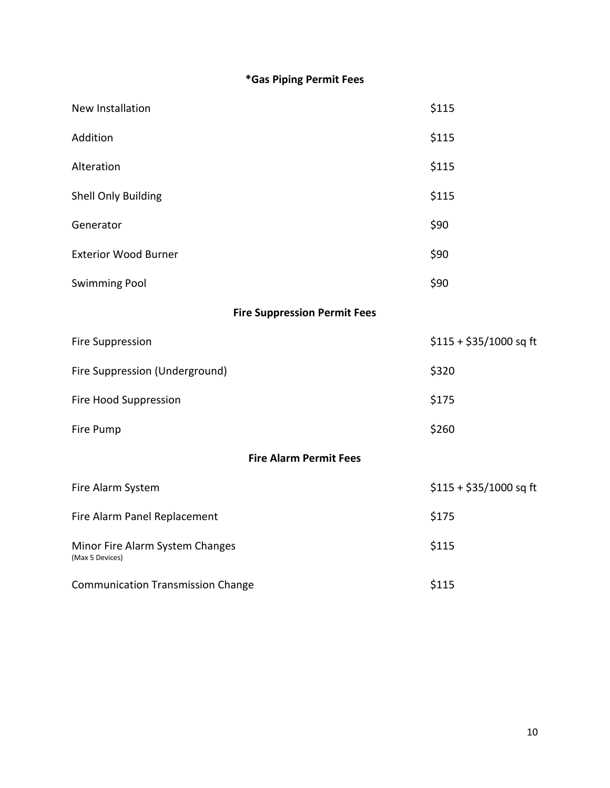# **\*Gas Piping Permit Fees**

| New Installation                                   | \$115                   |  |
|----------------------------------------------------|-------------------------|--|
| Addition                                           | \$115                   |  |
| Alteration                                         | \$115                   |  |
| Shell Only Building                                | \$115                   |  |
| Generator                                          | \$90                    |  |
| <b>Exterior Wood Burner</b>                        | \$90                    |  |
| <b>Swimming Pool</b>                               | \$90                    |  |
| <b>Fire Suppression Permit Fees</b>                |                         |  |
| <b>Fire Suppression</b>                            | $$115 + $35/1000$ sq ft |  |
| Fire Suppression (Underground)                     | \$320                   |  |
| Fire Hood Suppression                              | \$175                   |  |
| Fire Pump                                          | \$260                   |  |
| <b>Fire Alarm Permit Fees</b>                      |                         |  |
| Fire Alarm System                                  | $$115 + $35/1000$ sq ft |  |
| Fire Alarm Panel Replacement                       | \$175                   |  |
| Minor Fire Alarm System Changes<br>(Max 5 Devices) | \$115                   |  |
| <b>Communication Transmission Change</b>           | \$115                   |  |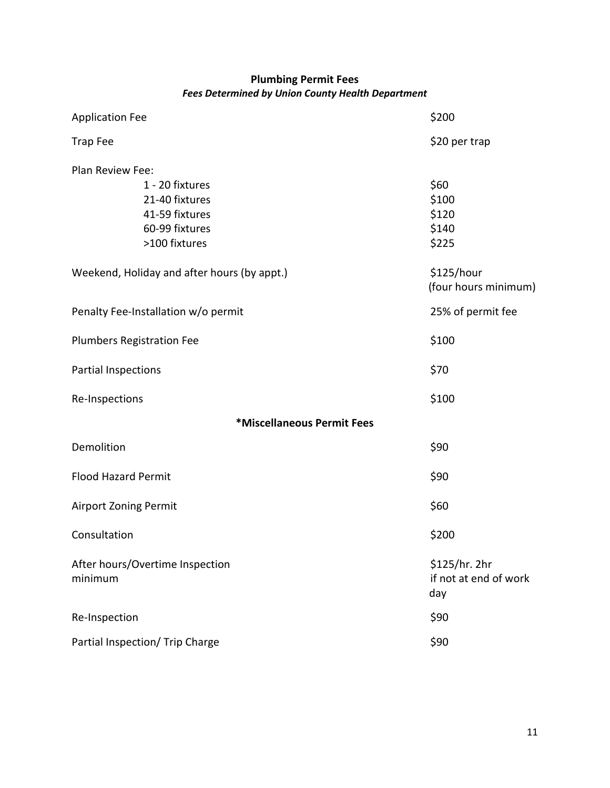## **Plumbing Permit Fees** *Fees Determined by Union County Health Department*

| <b>Application Fee</b>                      | \$200                                         |
|---------------------------------------------|-----------------------------------------------|
| <b>Trap Fee</b>                             | \$20 per trap                                 |
| Plan Review Fee:                            |                                               |
| 1 - 20 fixtures                             | \$60                                          |
| 21-40 fixtures                              | \$100                                         |
| 41-59 fixtures                              | \$120                                         |
| 60-99 fixtures                              | \$140                                         |
| >100 fixtures                               | \$225                                         |
| Weekend, Holiday and after hours (by appt.) | \$125/hour<br>(four hours minimum)            |
| Penalty Fee-Installation w/o permit         | 25% of permit fee                             |
| <b>Plumbers Registration Fee</b>            | \$100                                         |
| Partial Inspections                         | \$70                                          |
| Re-Inspections                              | \$100                                         |
| *Miscellaneous Permit Fees                  |                                               |
| Demolition                                  | \$90                                          |
| <b>Flood Hazard Permit</b>                  | \$90                                          |
| <b>Airport Zoning Permit</b>                | \$60                                          |
| Consultation                                | \$200                                         |
| After hours/Overtime Inspection<br>minimum  | \$125/hr. 2hr<br>if not at end of work<br>day |
| Re-Inspection                               | \$90                                          |
| Partial Inspection/ Trip Charge             | \$90                                          |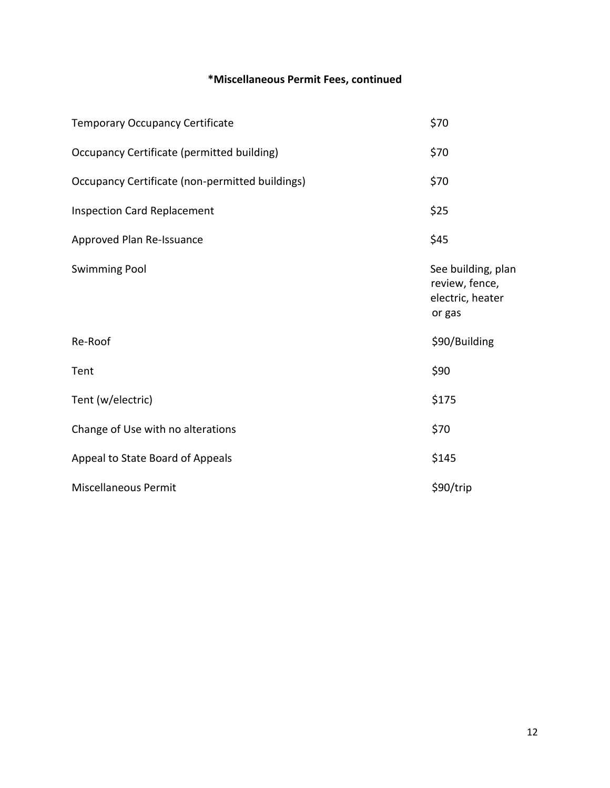# **\*Miscellaneous Permit Fees, continued**

| <b>Temporary Occupancy Certificate</b>          | \$70                                                               |
|-------------------------------------------------|--------------------------------------------------------------------|
| Occupancy Certificate (permitted building)      | \$70                                                               |
| Occupancy Certificate (non-permitted buildings) | \$70                                                               |
| <b>Inspection Card Replacement</b>              | \$25                                                               |
| Approved Plan Re-Issuance                       | \$45                                                               |
| <b>Swimming Pool</b>                            | See building, plan<br>review, fence,<br>electric, heater<br>or gas |
| Re-Roof                                         | \$90/Building                                                      |
| Tent                                            | \$90                                                               |
| Tent (w/electric)                               | \$175                                                              |
| Change of Use with no alterations               | \$70                                                               |
| Appeal to State Board of Appeals                | \$145                                                              |
| <b>Miscellaneous Permit</b>                     | \$90/trip                                                          |